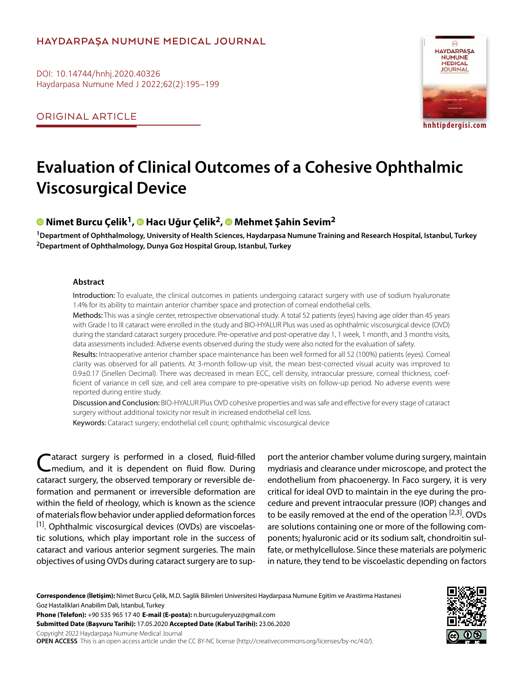## **HAYDARPAŞA NUMUNE MEDICAL JOURNAL**

DOI: 10.14744/hnhj.2020.40326 Haydarpasa Numune Med J 2022;62(2):195–199

ORIGINAL ARTICLE



**hnhtipdergisi.com**

# **Evaluation of Clinical Outcomes of a Cohesive Ophthalmic Viscosurgical Device**

## **Nimet Burcu Çelik1,Hacı Uğur Çelik2,Mehmet Şahin Sevim2**

**1Department of Ophthalmology, University of Health Sciences, Haydarpasa Numune Training and Research Hospital, Istanbul, Turkey 2Department of Ophthalmology, Dunya Goz Hospital Group, Istanbul, Turkey**

#### **Abstract**

Introduction: To evaluate, the clinical outcomes in patients undergoing cataract surgery with use of sodium hyaluronate 1.4% for its ability to maintain anterior chamber space and protection of corneal endothelial cells.

Methods: This was a single center, retrospective observational study. A total 52 patients (eyes) having age older than 45 years with Grade I to III cataract were enrolled in the study and BIO-HYALUR Plus was used as ophthalmic viscosurgical device (OVD) during the standard cataract surgery procedure. Pre-operative and post-operative day 1, 1 week, 1 month, and 3 months visits, data assessments included: Adverse events observed during the study were also noted for the evaluation of safety.

Results: Intraoperative anterior chamber space maintenance has been well formed for all 52 (100%) patients (eyes). Corneal clarity was observed for all patients. At 3-month follow-up visit, the mean best-corrected visual acuity was improved to 0.9±0.17 (Snellen Decimal). There was decreased in mean ECC, cell density, intraocular pressure, corneal thickness, coefficient of variance in cell size, and cell area compare to pre-operative visits on follow-up period. No adverse events were reported during entire study.

Discussion and Conclusion: BIO-HYALUR Plus OVD cohesive properties and was safe and effective for every stage of cataract surgery without additional toxicity nor result in increased endothelial cell loss.

Keywords: Cataract surgery; endothelial cell count; ophthalmic viscosurgical device

Cataract surgery is performed in a closed, fluid-filled<br>Cmedium, and it is dependent on fluid flow. During cataract surgery, the observed temporary or reversible deformation and permanent or irreversible deformation are within the field of rheology, which is known as the science of materials flow behavior under applied deformation forces  $[1]$ . Ophthalmic viscosurgical devices (OVDs) are viscoelastic solutions, which play important role in the success of cataract and various anterior segment surgeries. The main objectives of using OVDs during cataract surgery are to sup-

port the anterior chamber volume during surgery, maintain mydriasis and clearance under microscope, and protect the endothelium from phacoenergy. In Faco surgery, it is very critical for ideal OVD to maintain in the eye during the procedure and prevent intraocular pressure (IOP) changes and to be easily removed at the end of the operation  $[2,3]$ . OVDs are solutions containing one or more of the following components; hyaluronic acid or its sodium salt, chondroitin sulfate, or methylcellulose. Since these materials are polymeric in nature, they tend to be viscoelastic depending on factors

**Correspondence (İletişim):** Nimet Burcu Çelik, M.D. Saglik Bilimleri Universitesi Haydarpasa Numune Egitim ve Arastirma Hastanesi Goz Hastaliklari Anabilim Dali, Istanbul, Turkey

**Phone (Telefon):** +90 535 965 17 40 **E-mail (E-posta):** n.burcuguleryuz@gmail.com

**Submitted Date (Başvuru Tarihi):** 17.05.2020 **Accepted Date (Kabul Tarihi):** 23.06.2020

Copyright 2022 Haydarpaşa Numune Medical Journal

**OPEN ACCESS** This is an open access article under the CC BY-NC license (http://creativecommons.org/licenses/by-nc/4.0/).

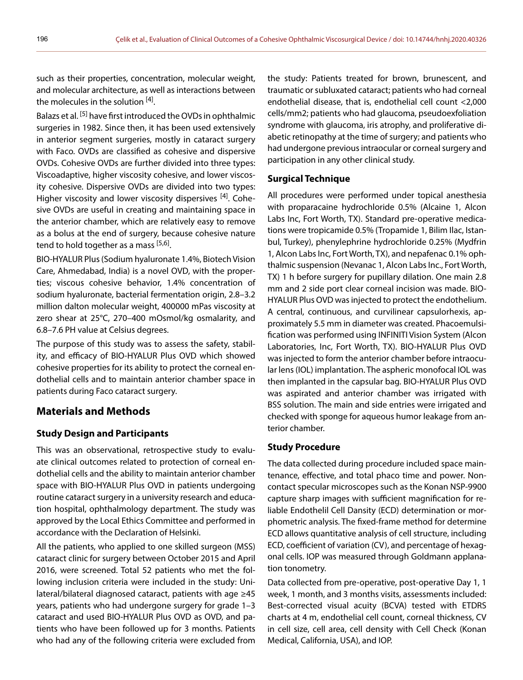such as their properties, concentration, molecular weight, and molecular architecture, as well as interactions between the molecules in the solution  $[4]$ .

Balazs et al.<sup>[5]</sup> have first introduced the OVDs in ophthalmic surgeries in 1982. Since then, it has been used extensively in anterior segment surgeries, mostly in cataract surgery with Faco. OVDs are classified as cohesive and dispersive OVDs. Cohesive OVDs are further divided into three types: Viscoadaptive, higher viscosity cohesive, and lower viscosity cohesive. Dispersive OVDs are divided into two types: Higher viscosity and lower viscosity dispersives [4]. Cohesive OVDs are useful in creating and maintaining space in the anterior chamber, which are relatively easy to remove as a bolus at the end of surgery, because cohesive nature tend to hold together as a mass [5,6].

BIO-HYALUR Plus (Sodium hyaluronate 1.4%, Biotech Vision Care, Ahmedabad, India) is a novel OVD, with the properties; viscous cohesive behavior, 1.4% concentration of sodium hyaluronate, bacterial fermentation origin, 2.8–3.2 million dalton molecular weight, 400000 mPas viscosity at zero shear at 25°C, 270–400 mOsmol/kg osmalarity, and 6.8–7.6 PH value at Celsius degrees.

The purpose of this study was to assess the safety, stability, and efficacy of BIO-HYALUR Plus OVD which showed cohesive properties for its ability to protect the corneal endothelial cells and to maintain anterior chamber space in patients during Faco cataract surgery.

## **Materials and Methods**

### **Study Design and Participants**

This was an observational, retrospective study to evaluate clinical outcomes related to protection of corneal endothelial cells and the ability to maintain anterior chamber space with BIO-HYALUR Plus OVD in patients undergoing routine cataract surgery in a university research and education hospital, ophthalmology department. The study was approved by the Local Ethics Committee and performed in accordance with the Declaration of Helsinki.

All the patients, who applied to one skilled surgeon (MSS) cataract clinic for surgery between October 2015 and April 2016, were screened. Total 52 patients who met the following inclusion criteria were included in the study: Unilateral/bilateral diagnosed cataract, patients with age ≥45 years, patients who had undergone surgery for grade 1–3 cataract and used BIO-HYALUR Plus OVD as OVD, and patients who have been followed up for 3 months. Patients who had any of the following criteria were excluded from

the study: Patients treated for brown, brunescent, and traumatic or subluxated cataract; patients who had corneal endothelial disease, that is, endothelial cell count <2,000 cells/mm2; patients who had glaucoma, pseudoexfoliation syndrome with glaucoma, iris atrophy, and proliferative diabetic retinopathy at the time of surgery; and patients who had undergone previous intraocular or corneal surgery and participation in any other clinical study.

#### **Surgical Technique**

All procedures were performed under topical anesthesia with proparacaine hydrochloride 0.5% (Alcaine 1, Alcon Labs Inc, Fort Worth, TX). Standard pre-operative medications were tropicamide 0.5% (Tropamide 1, Bilim Ilac, Istanbul, Turkey), phenylephrine hydrochloride 0.25% (Mydfrin 1, Alcon Labs Inc, Fort Worth, TX), and nepafenac 0.1% ophthalmic suspension (Nevanac 1, Alcon Labs Inc., Fort Worth, TX) 1 h before surgery for pupillary dilation. One main 2.8 mm and 2 side port clear corneal incision was made. BIO-HYALUR Plus OVD was injected to protect the endothelium. A central, continuous, and curvilinear capsulorhexis, approximately 5.5 mm in diameter was created. Phacoemulsification was performed using INFINITI Vision System (Alcon Laboratories, Inc, Fort Worth, TX). BIO-HYALUR Plus OVD was injected to form the anterior chamber before intraocular lens (IOL) implantation. The aspheric monofocal IOL was then implanted in the capsular bag. BIO-HYALUR Plus OVD was aspirated and anterior chamber was irrigated with BSS solution. The main and side entries were irrigated and checked with sponge for aqueous humor leakage from anterior chamber.

#### **Study Procedure**

The data collected during procedure included space maintenance, effective, and total phaco time and power. Noncontact specular microscopes such as the Konan NSP-9900 capture sharp images with sufficient magnification for reliable Endothelil Cell Dansity (ECD) determination or morphometric analysis. The fixed-frame method for determine ECD allows quantitative analysis of cell structure, including ECD, coefficient of variation (CV), and percentage of hexagonal cells. IOP was measured through Goldmann applanation tonometry.

Data collected from pre-operative, post-operative Day 1, 1 week, 1 month, and 3 months visits, assessments included: Best-corrected visual acuity (BCVA) tested with ETDRS charts at 4 m, endothelial cell count, corneal thickness, CV in cell size, cell area, cell density with Cell Check (Konan Medical, California, USA), and IOP.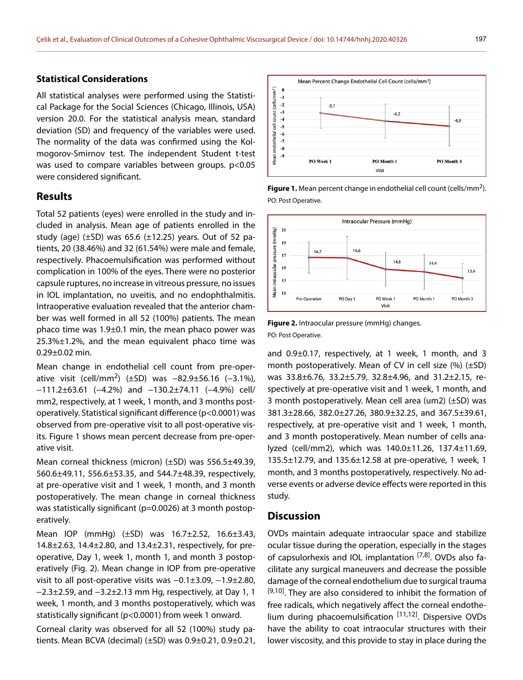endothelial cell count (cells/mm<sup>2</sup>)

 $\mathbf{0}$  $-1$  $-2$ 

 $-3$ 

 $-4$ 

 $-5$  $-6$  $-7$  $-8$ Mean e  $-9$ 

#### **Statistical Considerations**

All statistical analyses were performed using the Statistical Package for the Social Sciences (Chicago, Illinois, USA) version 20.0. For the statistical analysis mean, standard deviation (SD) and frequency of the variables were used. The normality of the data was confirmed using the Kolmogorov-Smirnov test. The independent Student t-test was used to compare variables between groups. p<0.05 were considered significant.

#### **Results**

Total 52 patients (eyes) were enrolled in the study and included in analysis. Mean age of patients enrolled in the study (age)  $(\pm SD)$  was 65.6  $(\pm 12.25)$  years. Out of 52 patients, 20 (38.46%) and 32 (61.54%) were male and female, respectively. Phacoemulsification was performed without complication in 100% of the eyes. There were no posterior capsule ruptures, no increase in vitreous pressure, no issues in IOL implantation, no uveitis, and no endophthalmitis. Intraoperative evaluation revealed that the anterior chamber was well formed in all 52 (100%) patients. The mean phaco time was 1.9±0.1 min, the mean phaco power was  $25.3\% \pm 1.2\%$ , and the mean equivalent phaco time was  $0.29 \pm 0.02$  min.

Mean change in endothelial cell count from pre-operative visit (cell/mm<sup>2</sup>) (±SD) was −82.9±56.16 (−3.1%), −111.2±63.61 (−4.2%) and −130.2±74.11 (−4.9%) cell/ mm2, respectively, at 1 week, 1 month, and 3 months postoperatively. Statistical significant difference (p<0.0001) was observed from pre-operative visit to all post-operative visits. Figure 1 shows mean percent decrease from pre-operative visit.

Mean corneal thickness (micron) (±SD) was 556.5±49.39, 560.6±49.11, 556.6±53.35, and 544.7±48.39, respectively, at pre-operative visit and 1 week, 1 month, and 3 month postoperatively. The mean change in corneal thickness was statistically significant (p=0.0026) at 3 month postoperatively.

Mean IOP (mmHg) (±SD) was 16.7±2.52, 16.6±3.43, 14.8±2.63, 14.4±2.80, and 13.4±2.31, respectively, for preoperative, Day 1, week 1, month 1, and month 3 postoperatively (Fig. 2). Mean change in IOP from pre-operative visit to all post-operative visits was −0.1±3.09, −1.9±2.80, −2.3±2.59, and −3.2±2.13 mm Hg, respectively, at Day 1, 1 week, 1 month, and 3 months postoperatively, which was statistically significant (p<0.0001) from week 1 onward.

Corneal clarity was observed for all 52 (100%) study patients. Mean BCVA (decimal) (±SD) was 0.9±0.21, 0.9±0.21,

Figure 1. Mean percent change in endothelial cell count (cells/mm<sup>2</sup>). PO: Post Operative.

PO Month 1 Visit

 $-4.2$ 

Mean Percent Change Endothelial Cell Count (cells/mm<sup>2</sup>)

 $-3.1$ 

PO Week 1



**Figure 2.** Intraocular pressure (mmHg) changes. PO: Post Operative.

and 0.9±0.17, respectively, at 1 week, 1 month, and 3 month postoperatively. Mean of CV in cell size  $(\%)$  ( $\pm$ SD) was 33.8±6.76, 33.2±5.79, 32.8±4.96, and 31.2±2.15, respectively at pre-operative visit and 1 week, 1 month, and 3 month postoperatively. Mean cell area (um2) (±SD) was 381.3±28.66, 382.0±27.26, 380.9±32.25, and 367.5±39.61, respectively, at pre-operative visit and 1 week, 1 month, and 3 month postoperatively. Mean number of cells analyzed (cell/mm2), which was 140.0±11.26, 137.4±11.69, 135.5±12.79, and 135.6±12.58 at pre-operative, 1 week, 1 month, and 3 months postoperatively, respectively. No adverse events or adverse device effects were reported in this study.

#### **Discussion**

OVDs maintain adequate intraocular space and stabilize ocular tissue during the operation, especially in the stages of capsulorhexis and IOL implantation  $[7,8]$ . OVDs also facilitate any surgical maneuvers and decrease the possible damage of the corneal endothelium due to surgical trauma  $[9,10]$ . They are also considered to inhibit the formation of free radicals, which negatively affect the corneal endothelium during phacoemulsification [11,12]. Dispersive OVDs have the ability to coat intraocular structures with their lower viscosity, and this provide to stay in place during the

 $-4,9$ 

PO Month 3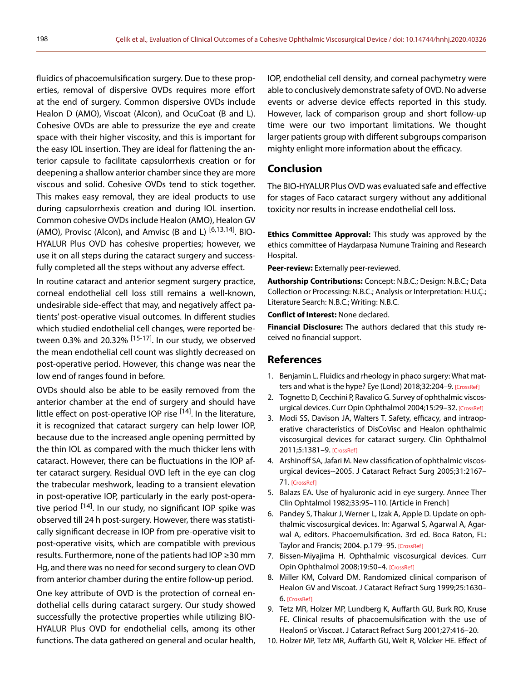fluidics of phacoemulsification surgery. Due to these properties, removal of dispersive OVDs requires more effort at the end of surgery. Common dispersive OVDs include Healon D (AMO), Viscoat (Alcon), and OcuCoat (B and L). Cohesive OVDs are able to pressurize the eye and create space with their higher viscosity, and this is important for the easy IOL insertion. They are ideal for flattening the anterior capsule to facilitate capsulorrhexis creation or for deepening a shallow anterior chamber since they are more viscous and solid. Cohesive OVDs tend to stick together. This makes easy removal, they are ideal products to use during capsulorrhexis creation and during IOL insertion. Common cohesive OVDs include Healon (AMO), Healon GV (AMO), Provisc (Alcon), and Amvisc (B and L)  $[6,13,14]$ . BIO-HYALUR Plus OVD has cohesive properties; however, we use it on all steps during the cataract surgery and successfully completed all the steps without any adverse effect.

In routine cataract and anterior segment surgery practice, corneal endothelial cell loss still remains a well-known, undesirable side-effect that may, and negatively affect patients' post-operative visual outcomes. In different studies which studied endothelial cell changes, were reported between 0.3% and 20.32%  $^{[15-17]}$ . In our study, we observed the mean endothelial cell count was slightly decreased on post-operative period. However, this change was near the low end of ranges found in before.

OVDs should also be able to be easily removed from the anterior chamber at the end of surgery and should have little effect on post-operative IOP rise  $[14]$ . In the literature, it is recognized that cataract surgery can help lower IOP, because due to the increased angle opening permitted by the thin IOL as compared with the much thicker lens with cataract. However, there can be fluctuations in the IOP after cataract surgery. Residual OVD left in the eye can clog the trabecular meshwork, leading to a transient elevation in post-operative IOP, particularly in the early post-operative period <sup>[14]</sup>. In our study, no significant IOP spike was observed till 24 h post-surgery. However, there was statistically significant decrease in IOP from pre-operative visit to post-operative visits, which are compatible with previous results. Furthermore, none of the patients had IOP ≥30 mm Hg, and there was no need for second surgery to clean OVD from anterior chamber during the entire follow-up period.

One key attribute of OVD is the protection of corneal endothelial cells during cataract surgery. Our study showed successfully the protective properties while utilizing BIO-HYALUR Plus OVD for endothelial cells, among its other functions. The data gathered on general and ocular health,

IOP, endothelial cell density, and corneal pachymetry were able to conclusively demonstrate safety of OVD. No adverse events or adverse device effects reported in this study. However, lack of comparison group and short follow-up time were our two important limitations. We thought larger patients group with different subgroups comparison mighty enlight more information about the efficacy.

## **Conclusion**

The BIO-HYALUR Plus OVD was evaluated safe and effective for stages of Faco cataract surgery without any additional toxicity nor results in increase endothelial cell loss.

**Ethics Committee Approval:** This study was approved by the ethics committee of Haydarpasa Numune Training and Research Hospital.

**Peer-review:** Externally peer-reviewed.

**Authorship Contributions:** Concept: N.B.C.; Design: N.B.C.; Data Collection or Processing: N.B.C.; Analysis or Interpretation: H.U.Ç.; Literature Search: N.B.C.; Writing: N.B.C.

**Conflict of Interest:** None declared.

**Financial Disclosure:** The authors declared that this study received no financial support.

#### **References**

- 1. Benjamin L. Fluidics and rheology in phaco surgery: What matters and what is the hype? Eye (Lond) 2018;32:204-9. [CrossRef]
- 2. Tognetto D, Cecchini P, Ravalico G. Survey of ophthalmic viscosurgical devices. Curr Opin Ophthalmol 2004;15:29-32. [CrossRef]
- 3. Modi SS, Davison JA, Walters T. Safety, efficacy, and intraoperative characteristics of DisCoVisc and Healon ophthalmic viscosurgical devices for cataract surgery. Clin Ophthalmol 2011;5:1381–9. [CrossRef]
- 4. Arshinoff SA, Jafari M. New classification of ophthalmic viscosurgical devices--2005. J Cataract Refract Surg 2005;31:2167– 71. [CrossRef]
- 5. Balazs EA. Use of hyaluronic acid in eye surgery. Annee Ther Clin Ophtalmol 1982;33:95–110. [Article in French]
- 6. Pandey S, Thakur J, Werner L, Izak A, Apple D. Update on ophthalmic viscosurgical devices. In: Agarwal S, Agarwal A, Agarwal A, editors. Phacoemulsification. 3rd ed. Boca Raton, FL: Taylor and Francis; 2004. p.179–95. [CrossRef]
- 7. Bissen-Miyajima H. Ophthalmic viscosurgical devices. Curr Opin Ophthalmol 2008;19:50–4. [CrossRef]
- 8. Miller KM, Colvard DM. Randomized clinical comparison of Healon GV and Viscoat. J Cataract Refract Surg 1999;25:1630– 6. [CrossRef]
- 9. Tetz MR, Holzer MP, Lundberg K, Auffarth GU, Burk RO, Kruse FE. Clinical results of phacoemulsification with the use of Healon5 or Viscoat. J Cataract Refract Surg 2001;27:416–20.
- 10. Holzer MP, Tetz MR, Auffarth GU, Welt R, Völcker HE. Effect of